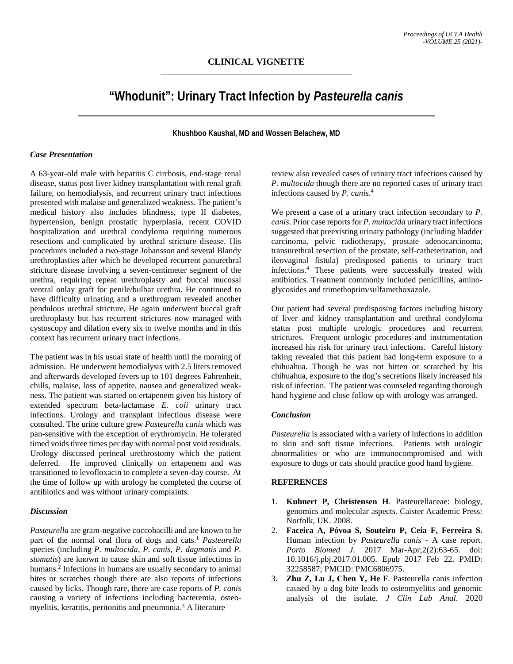# **"Whodunit": Urinary Tract Infection by** *Pasteurella canis*

## **Khushboo Kaushal, MD and Wossen Belachew, MD**

### *Case Presentation*

A 63-year-old male with hepatitis C cirrhosis, end-stage renal disease, status post liver kidney transplantation with renal graft failure, on hemodialysis, and recurrent urinary tract infections presented with malaise and generalized weakness. The patient's medical history also includes blindness, type II diabetes, hypertension, benign prostatic hyperplasia, recent COVID hospitalization and urethral condyloma requiring numerous resections and complicated by urethral stricture disease. His procedures included a two-stage Johansson and several Blandy urethroplasties after which he developed recurrent panurethral stricture disease involving a seven-centimeter segment of the urethra, requiring repeat urethroplasty and buccal mucosal ventral onlay graft for penile/bulbar urethra. He continued to have difficulty urinating and a urethrogram revealed another pendulous urethral stricture. He again underwent buccal graft urethroplasty but has recurrent strictures now managed with cystoscopy and dilation every six to twelve months and in this context has recurrent urinary tract infections.

The patient was in his usual state of health until the morning of admission. He underwent hemodialysis with 2.5 liters removed and afterwards developed fevers up to 101 degrees Fahrenheit, chills, malaise, loss of appetite, nausea and generalized weakness. The patient was started on ertapenem given his history of extended spectrum beta-lactamase *E. coli* urinary tract infections. Urology and transplant infectious disease were consulted. The urine culture grew *Pasteurella canis* which was pan-sensitive with the exception of erythromycin. He tolerated timed voids three times per day with normal post void residuals. Urology discussed perineal urethrostomy which the patient deferred. He improved clinically on ertapenem and was transitioned to levofloxacin to complete a seven-day course. At the time of follow up with urology he completed the course of antibiotics and was without urinary complaints.

### *Discussion*

*Pasteurella* are gram-negative coccobacilli and are known to be part of the normal oral flora of dogs and cats.1 *Pasteurella* species (including *P. multocida*, *P. canis*, *P. dagmatis* and *P. stomatis*) are known to cause skin and soft tissue infections in humans.<sup>2</sup> Infections in humans are usually secondary to animal bites or scratches though there are also reports of infections caused by licks. Though rare, there are case reports of *P. canis*  causing a variety of infections including bacteremia, osteomyelitis, keratitis, peritonitis and pneumonia.3 A literature

review also revealed cases of urinary tract infections caused by *P. multocida* though there are no reported cases of urinary tract infections caused by *P. canis*. 4

We present a case of a urinary tract infection secondary to *P. canis*. Prior case reports for *P. multocida* urinary tract infections suggested that preexisting urinary pathology (including bladder carcinoma, pelvic radiotherapy, prostate adenocarcinoma, transurethral resection of the prostate, self-catheterization, and ileovaginal fistula) predisposed patients to urinary tract infections. <sup>4</sup> These patients were successfully treated with antibiotics. Treatment commonly included penicillins, aminoglycosides and trimethoprim/sulfamethoxazole.

Our patient had several predisposing factors including history of liver and kidney transplantation and urethral condyloma status post multiple urologic procedures and recurrent strictures. Frequent urologic procedures and instrumentation increased his risk for urinary tract infections. Careful history taking revealed that this patient had long-term exposure to a chihuahua. Though he was not bitten or scratched by his chihuahua, exposure to the dog's secretions likely increased his risk of infection. The patient was counseled regarding thorough hand hygiene and close follow up with urology was arranged.

## *Conclusion*

*Pasteurella* is associated with a variety of infections in addition to skin and soft tissue infections. Patients with urologic abnormalities or who are immunocompromised and with exposure to dogs or cats should practice good hand hygiene.

#### **REFERENCES**

- 1. **Kuhnert P, Christensen H**. Pasteurellaceae: biology, genomics and molecular aspects. Caister Academic Press: Norfolk, UK. 2008.
- 2. **Faceira A, Póvoa S, Souteiro P, Ceia F, Ferreira S.** Human infection by *Pasteurella canis* - A case report. *Porto Biomed J*. 2017 Mar-Apr;2(2):63-65. doi: 10.1016/j.pbj.2017.01.005. Epub 2017 Feb 22. PMID: 32258587; PMCID: PMC6806975.
- 3. **Zhu Z, Lu J, Chen Y, He F**. Pasteurella canis infection caused by a dog bite leads to osteomyelitis and genomic analysis of the isolate. *J Clin Lab Anal*. 2020